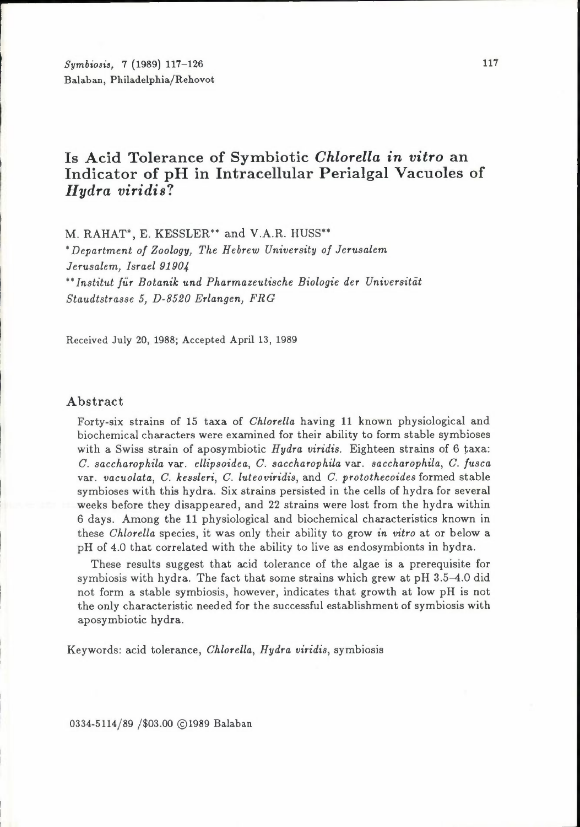*Symbiosis,* 7 (1989) 117-126 Balaban, Philadelphia/Rehovot

# **Is Acid Tolerance of Symbiotic** *Chlorella in vitro* **an Indicator of pH in Intracellular Perialgal Vacuoles of**  *Hydra viridis?*

M. RAHAT\*, E. KESSLER\*\* and V.A.R. HUSS\*\*

*• Department of Zoology, The Hebrew University of Jerusalem Jerusalem, Israel 91904 •• Institut fiir Botanik und Pharmazeutische Biologie der Universitiit Staudtstrasse 5, D-8520 Erlangen, FRG* 

Received July 20, 1988; Accepted April 13, 1989

#### Abstract

Forty-six strains of 15 taxa of *Chlorella* having 11 known physiological and biochemical characters were examined for their ability to form stable symbioses with a Swiss strain of aposymbiotic *Hydra viridis.* Eighteen strains of 6 taxa: *C. saccharophila* var. *ellipsoidea, C. saccharophila* var. *saccharophila, C. fusca*  var. *vacuolata, C. kessleri, C. luteoviridis,* and *C. protothecoides* formed stable symbioses with this hydra. Six strains persisted in the cells of hydra for several weeks before they disappeared, and 22 strains were lost from the hydra within 6 days. Among the 11 physiological and biochemical characteristics known in these *Chlorella* species, it was only their ability to grow *in vitro* at or below a pH of 4.0 that correlated with the ability to live *as* endosymbionts in hydra.

These results suggest that acid tolerance of the algae is a prerequisite for symbiosis with hydra. The fact that some strains which grew at pH 3.5-4.0 did not form a stable symbiosis, however, indicates that growth at low pH is not the only characteristic needed for the successful establishment of symbiosis with aposymbiotic hydra.

Keywords: acid tolerance, *Chlorella, Hydra viridis,* symbiosis

0334-5114/89 /\$03.00 @1989 Balaban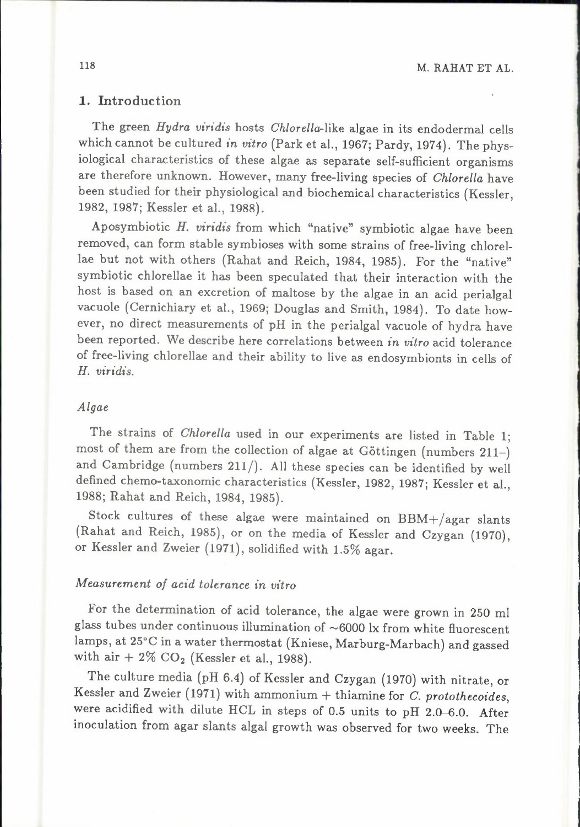## 1. Introduction

The green *Hydra viridis* hosts *Ch/ore/la-like* algae in its endodermal cells which cannot be cultured *in vitro* (Park et al., 1967; Pardy, 1974). The physiological characteristics of these algae as separate self-sufficient organisms are therefore unknown. However, many free-living species of *Chlorella* have been studied for their physiological and biochemical characteristics (Kessler, 1982, 1987; Kessler et al., 1988).

Aposymbiotic *H. viridis* from which "native" symbiotic algae have been removed, can form stable symbioses with some strains of free-living chlorellae but not with others (Rahat and Reich, 1984, 1985). For the "native" symbiotic chlorellae it has been speculated that their interaction with the host is based on an excretion of maltose by the algae in an acid perialgal vacuole (Cernichiary et al., 1969; Douglas and Smith, 1984). To date however, no direct measurements of pH in the perialgal vacuole of hydra have been reported. We describe here correlations between *in vitro* acid tolerance of free-living chlorellae and their ability to live as endosymbionts in cells of *H. viridis.* 

### *Algae*

The strains of *Chlorella* used in our experiments are listed in Table 1; most of them are from the collection of algae at Göttingen (numbers 211-) and Cambridge (numbers 211/). All these species can be identified by well defined chemo-taxonomic characteristics (Kessler, 1982, 1987; Kessler et al., 1988; Rahat and Reich, 1984, 1985).

Stock cultures of these algae were maintained on BBM+/agar slants (Rahat and Reich, 1985), or on the media of Kessler and Czygan (1970), or Kessler and Zweier (1971), solidified with 1.5% agar.

# *Measurement of acid tolerance in vitro*

For the determination of acid tolerance, the algae were grown in 250 ml glass tubes under continuous illumination of  $\sim$  6000 lx from white fluorescent lamps, at 25°C in a water thermostat (Kniese, Marburg-Marbach) and gassed with air  $+ 2\%$  CO<sub>2</sub> (Kessler et al., 1988).

The culture media (pH 6.4) of Kessler and Czygan (1970) with nitrate, or Kessler and Zweier (1971) with ammonium+ thiamine for *C. protothecoides,*  were acidified with dilute HCL in steps of 0.5 units to pH 2.0-6.0. After inoculation from agar slants algal growth was observed for two weeks. The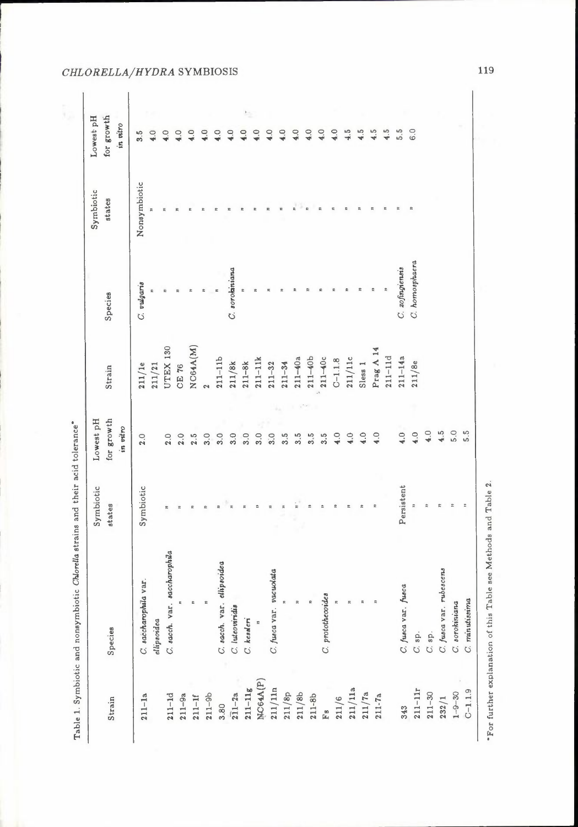|              |                              | Symbiotic  | Lowest pH        |                 |                 | Symbiotic    | Lowest pH       |
|--------------|------------------------------|------------|------------------|-----------------|-----------------|--------------|-----------------|
|              | Species                      | states     | for growth       | Strain          | Species         | states       | for growth      |
|              |                              |            | in vitro         |                 |                 |              | in vitro        |
|              | C. saccharophila var.        | Symbiotic  | 2.0              | 211/1e          | C. vulgarie     | Nonsymbiotic | 3.5             |
|              | ellipsoidea                  |            |                  | 211/21          |                 |              | 4.0             |
|              | C. sacch. var. saccharophila | π          | 2.0              | <b>UTEX 130</b> | r,              |              | 4.0             |
|              | z                            |            | 2.0              | <b>CE 76</b>    | r,              |              | $\ddot{4}$ .0   |
|              | £                            | \$,        | 2.5              | NC64A(M)        |                 |              | $\frac{0}{\pi}$ |
|              | R                            | ż          | 3.0              | $\mathbf{c}$    |                 |              | ੁ               |
|              | C. sacch. var. ellipsoidea   |            | 3.0              | $211 - 11b$     |                 |              | $\frac{0}{4}$   |
| $211 - 2a$   | C. luteoviridia              |            | 3.0              | 211/8k          | C. sorokiniana  |              | $\ddot{ }$      |
| $211 - 11g$  | C. kesaleri                  |            | 3.0              | $211 - 8k$      |                 |              | ë               |
| NC64A(P)     | $\ddot{z}$                   |            | 3.0              | $211 - 11k$     |                 |              | $\tilde{=}$     |
| 211/11n      | C. fusca var. vacuolata      | ż          | 3.0              | $211 - 32$      |                 |              | 4.0             |
| 211/8p       |                              |            | 3.5              | $211 - 34$      |                 |              | 4.0             |
| 211/8b       | $\ddot{ }$                   |            | $3.\overline{5}$ | $211 - 40a$     |                 |              | 4.0             |
| $211 - 8b$   |                              |            | 3.5              | $211 - 40b$     |                 |              | 4.0             |
|              | C. protothecoides            |            | 3.5              | $211-40c$       |                 |              | 4.0             |
|              | $\bar{\mathbf{r}}$           |            | 4.0              | $C-1.1.8$       |                 |              | 4.0             |
| 211/11a      | $\mathbbm{R}$                | E          | $^{4.0}$         | $211/11c$       |                 |              | 4.5             |
| 211/7a       | E                            |            | 4.0              | Sless 1         |                 |              | 4.5             |
| $211 - 7a$   | $\overline{p}$               |            | 4.0              | Prag A 14       |                 |              | 4.5             |
|              |                              |            |                  | $211 - 11d$     |                 |              | 4.5             |
|              | C. fusca var. fusca          | Persistent | 4.0              | $211 - 14a$     | C. zofingiensis |              | 5.5             |
| $211 - 11r$  | C. sp.                       | ÷,         | 4.0              | 211/8e          | C. homosphaera  |              | 6.0             |
| $211 - 30$   | $C.$ sp.                     | ä          | 4.0              |                 |                 |              |                 |
| 232/1        | C. fusca var. rubescens      |            | 4.5              |                 |                 |              |                 |
| $1 - 9 - 30$ | C. sorokiniana               |            | 5.0              |                 |                 |              |                 |
| $C-1.1.9$    | C. mnutissima                |            | 5.5              |                 |                 |              |                 |

*CHLORELLA/HYDRA* SYMBIOSIS

119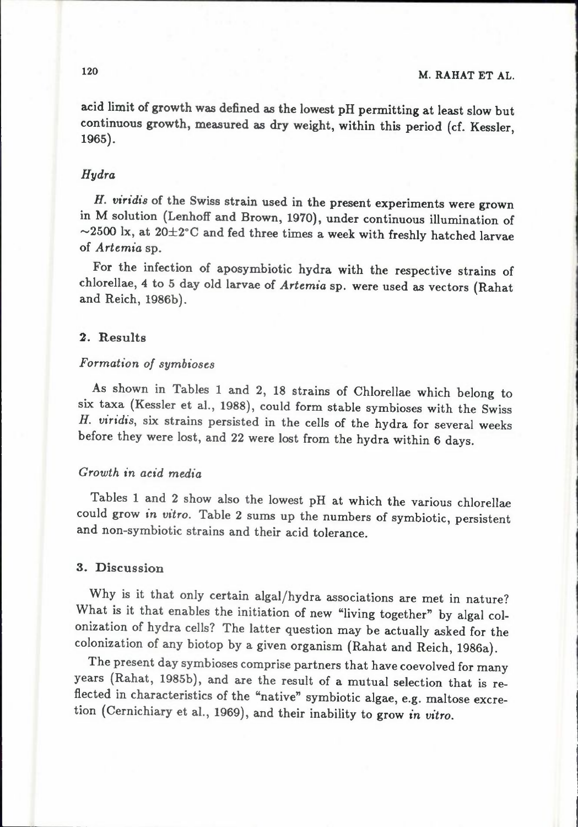acid limit of growth was defined as the lowest pH permitting at least slow but continuous growth, measured as dry weight, within this period (cf. Kessler, 1965).

### *Hydra*

*H. viridis* of the Swiss strain used in the present experiments were grown in M solution (Lenhoff and Brown, 1970), under continuous illumination of  $\sim$ 2500 lx, at 20 $\pm$ 2°C and fed three times a week with freshly hatched larvae of *Artemia* sp.

For the infection of aposymbiotic hydra with the respective strains of chlorellae, 4 to 5 day old larvae of *Artemia* sp. were used as vectors (Rahat and Reich, 1986b).

### 2. Results

# *Formation of symbioses*

As shown in Tables 1 and 2, 18 strains of Chlorellae which belong to six taxa (Kessler et al., 1988), could form stable symbioses with the Swiss *H. viridis,* six strains persisted in the cells of the hydra for several weeks before they were lost, and 22 were lost from the hydra within 6 days.

## *Growth in acid media*

Tables 1 and 2 show also the lowest pH at which the various chlorellae could grow *in vitro.* Table 2 sums up the numbers of symbiotic, persistent and non-symbiotic strains and their acid tolerance.

### 3. Discussion

Why is it that only certain algal/hydra associations are met in nature? What is it that enables the initiation of new "living together" by algal colonization of hydra cells? The latter question may be actually asked for the colonization of any biotop by a given organism (Rahat and Reich, 1986a).

The present day symbioses comprise partners that have coevolved for many years {Rahat, 1985b), and are the result of a mutual selection that is reflected in characteristics of the "native" symbiotic algae, e.g. maltose excretion (Cernichiary et al., 1969), and their inability to grow in *vitro.*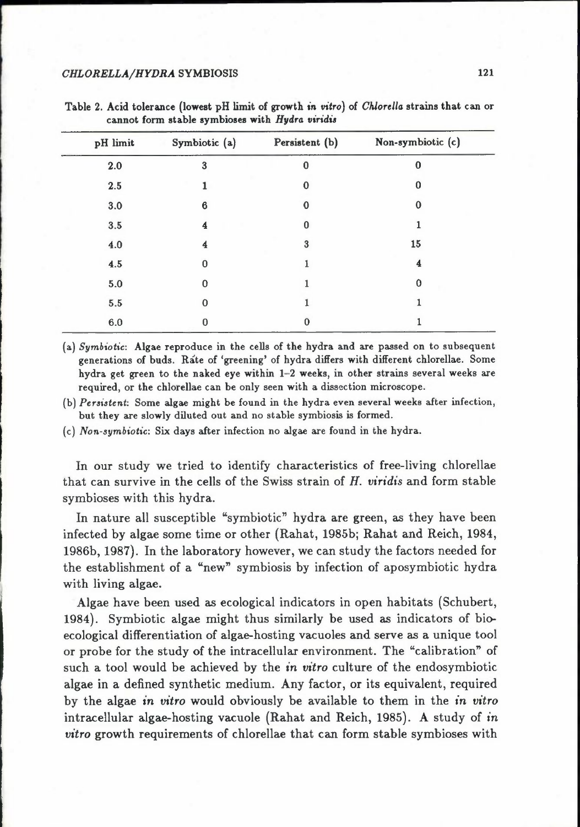| pH limit | Symbiotic (a) | Persistent (b) | Non-symbiotic (c) |
|----------|---------------|----------------|-------------------|
| 2.0      | 3             | n              | 0                 |
| $2.5\,$  |               | о              | 0                 |
| 3.0      | 6             | 0              | 0                 |
| $3.5\,$  | 4             | 0              |                   |
| 4.0      | 4             | 3              | 15                |
| 4.5      | 0             |                | 4                 |
| $5.0\,$  | 0             |                | 0                 |
| 5.5      | 0             |                |                   |
| $6.0\,$  | 0             | 0              |                   |

Table 2. Acid tolerance (lowest pH limit of growth *in* vitro) of *Chlorella* strains that can or cannot form stable symbioses with *Hydra* viridia

(a) *Symbiotic:* Algae reproduce in the cells of the hydra and are passed on to subsequent generations of buds. Rate of 'greening' of hydra differs with different chlorellae. Some hydra get green to the naked eye within 1-2 weeks, in other strains several weeks are required, or the chlorellae can be only seen with a dissection microscope.

[b] *Persistent:* Some algae might be found in the hydra even several weeks after infection, but they are slowly diluted out and no stable symbiosis is formed.

(c) *Non-symbiotic:* Six days after infection no algae are found in the hydra.

In our study we tried to identify characteristics of free-living chlorellae that can survive in the cells of the Swiss strain of *H. oiridis* and form stable symbioses with this hydra.

In nature all susceptible "symbiotic" hydra are green, as they have been infected by algae some time or other (Rahat, 1985b; Rahat and Reich, 1984, 1986b, 1987). In the laboratory however, we can study the factors needed for the establishment of a "new" symbiosis by infection of aposymbiotic hydra with living algae.

Algae have been used as ecological indicators in open habitats (Schubert, 1984). Symbiotic algae might thus similarly be used as indicators of bioecological differentiation of algae-hosting vacuoles and serve as a unique tool or probe for the study of the intracellular environment. The "calibration" of such a tool would be achieved by the *in vitro* culture of the endosymbiotic algae in a defined synthetic medium. Any factor, or its equivalent, required by the algae in *vitro* would obviously be available to them in the *in vitro*  intracellular algae-hosting vacuole (Rahat and Reich, 1985). A study of *in vitro* growth requirements of chlorellae that can form stable symbioses with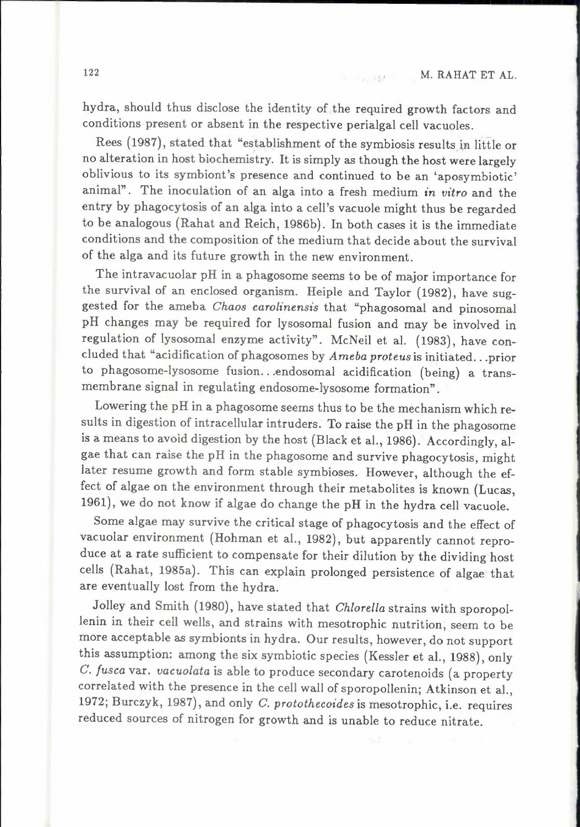hydra, should thus disclose the identity of the required growth factors and conditions present or absent in the respective perialgal cell vacuoles.

Rees (1987), stated that "establishment of the symbiosis results in little or no alteration in host biochemistry. It is simply as though the host were largely oblivious to its symbiont's presence and continued to be an 'aposymbiotic' animal". The inoculation of an alga into a fresh medium *in vitro* and the entry by phagocytosis of an alga into a cell's vacuole might thus be regarded to be analogous (Rahat and Reich, 1986b). In both cases it is the immediate conditions and the composition of the medium that decide about the survival of the alga and its future growth in the new environment.

The intravacuolar pH in a phagosome seems to be of major importance for the survival of an enclosed organism. Heiple and Taylor (1982), have suggested for the ameba *Chaos carolinensis* that "phagosomal and pinosomal pH changes may be required for lysosomal fusion and may be involved in regulation of lysosomal enzyme activity". McNeil et al. (1983), have concluded that "acidification of phagosomes by *Ameba proteus* is initiated ... prior to phagosome-lysosome fusion... endosomal acidification (being) a transmembrane signal in regulating endosome-lysosome formation".

Lowering the pH in a phagosome seems thus to be the mechanism which results in digestion of intracellular intruders. To raise the pH in the phagosome is a means to avoid digestion by the host (Black et al., 1986). Accordingly, algae that can raise the pH in the phagosome and survive phagocytosis, might later resume growth and form stable symbioses. However, although the effect of algae on the environment through their metabolites is known (Lucas, 1961), we do not know if algae do change the pH in the hydra cell vacuole.

Some algae may survive the critical stage of phagocytosis and the effect of vacuolar environment (Hohman et al., 1982), but apparently cannot reproduce at a rate sufficient to compensate for their dilution by the dividing host cells (Rahat, 1985a). This can explain prolonged persistence of algae that are eventually lost from the hydra.

Jolley and Smith (1980), have stated that *Chlo rel/a* strains with sporopollenin in their cell wells, and strains with mesotrophic nutrition, seem to be more acceptable as symbionts in hydra. Our results, however, do not support this assumption: among the six symbiotic species (Kessler et al., 1988), only *C. fusca* var. *vacuolata* is able to produce secondary carotenoids (a property correlated with the presence in the cell wall of sporopollenin; Atkinson et al., 1972; Burczyk, 1987), and only *C. protothecoides* is mesotrophic, i.e. requires reduced sources of nitrogen for growth and is unable to reduce nitrate.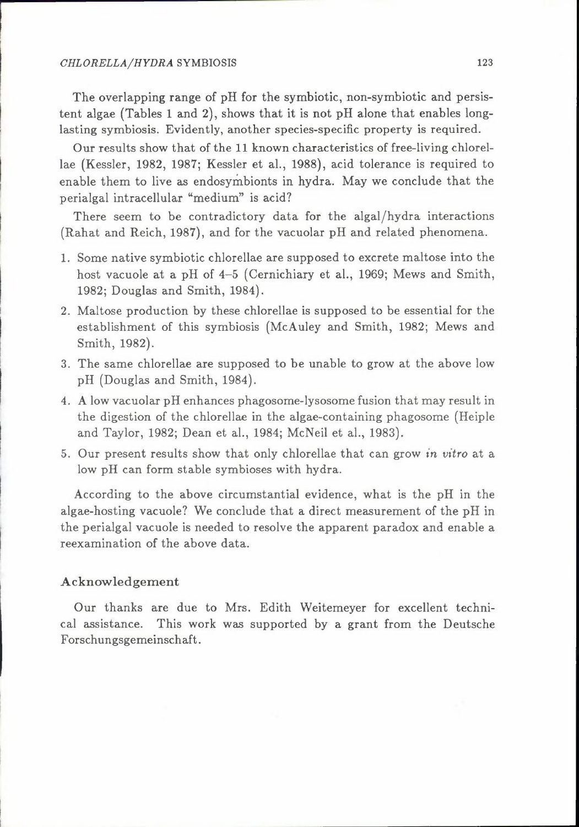#### *CHLORELLA/HYDRA* SYMBIOSIS 123

The overlapping range of pH for the symbiotic, non-symbiotic and persistent algae (Tables 1 and 2), shows that it is not pH alone that enables longlasting symbiosis. Evidently, another species-specific property is required.

Our results show that of the 11 known characteristics of free-living chlorellae (Kessler, 1982, 1987; Kessler et al., 1988), acid tolerance is required to enable them to live as endosymbionts in hydra. May we conclude that the perialgal intracellular "medium" is acid?

There seem to be contradictory data for the algal/hydra interactions (Rahat and Reich, 1987), and for the vacuolar pH and related phenomena.

- 1. Some native symbiotic chlorellae are supposed to excrete maltose into the host vacuole at a pH of 4-5 (Cernichiary et al., 1969; Mews and Smith, 1982; Douglas and Smith, 1984).
- 2. Maltose production by these chlorellae is supposed to be essential for the establishment of this symbiosis (McAuley and Smith, 1982; Mews and Smith, 1982).
- 3. The same chlorellae are supposed to be unable to grow at the above low pH (Douglas and Smith, 1984).
- 4. A low vacuolar pH enhances phagosome-lysosome fusion that may result in the digestion of the chlorellae in the algae-containing phagosome (Heiple and Taylor, 1982; Dean et al., 1984; McNeil et al., 1983).
- 5. Our present results show that only chlorellae that can grow *in vitro* at a low pH can form stable symbioses with hydra.

According to the above circumstantial evidence, what is the pH in the algae-hosting vacuole? We conclude that a direct measurement of the pH in the perialgal vacuole is needed to resolve the apparent paradox and enable a reexamination of the above data.

#### Acknowledgement

Our thanks are due to Mrs. Edith Weitemeyer for excellent technical assistance. This work was supported by a grant from the Deutsche Forschungsgemeinschaft.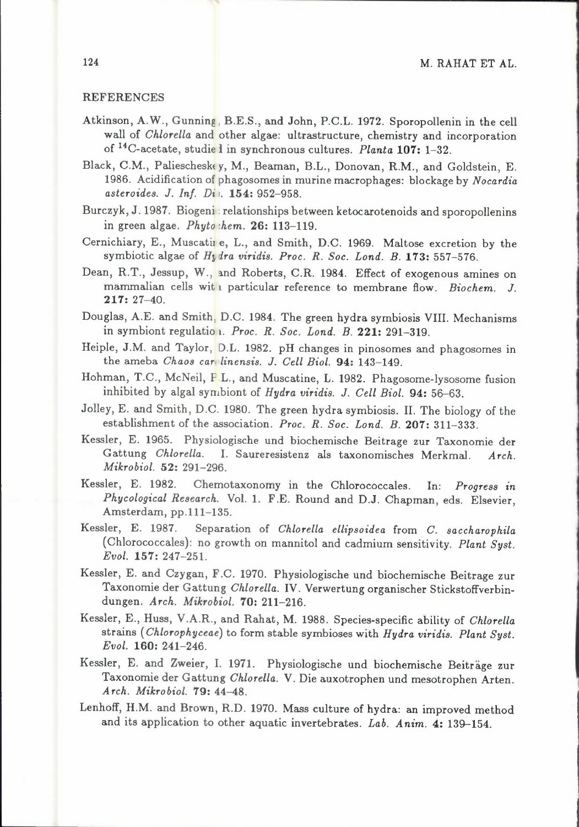#### REFERENCES

- Atkinson, A.W., Gunning, B.E.S., and John, P.C.L. 1972. Sporopollenin in the cell wall of *Chlorella* and other algae: ultrastructure, chemistry and incorporation of <sup>14</sup>C-acetate, studie l in synchronous cultures. *Planta* 107: 1-32.
- Black, C.M., Paliescheske *y,* M., Beaman, B.L., Donovan, R.M., and Goldstein, E. 1986. Acidification of phagosomes in murine macrophages: blockage by *Nocardia asteroides. J. Inf. Di ,.* 154: 952-958.
- Burczyk, J. 1987. Biogeni: relationships between ketocarotenoids and sporopollenins in green algae. *Phyto ihem.* 26: 113-119.
- Cernichiary, E., Muscatin e, L., and Smith, D.C. 1969. Maltose excretion by the symbiotic algae of *Hy dra viridis. Proc. R. Soc. Lond. B.* 173: 557-576.
- Dean, R.T., Jessup, W., and Roberts, C.R. 1984. Effect of exogenous amines on mammalian cells wit 1 particular reference to membrane flow. *Biochem. J.*  217: 27-40.
- Douglas, A.E. and Smith, D.C. 1984. The green hydra symbiosis VIII. Mechanisms in symbiont regulatio 1. *Proc. R. Soc. Lond. B.* 221: 291-319.
- Heiple, J.M. and Taylor, D.L. 1982. pH changes in pinosomes and phagosomes in the ameba *Chaos car, linensis. J. Cell Biol.* 94: 143-149.
- Hohman, T.C., McNeil, F.L., and Muscatine, L. 1982. Phagosome-lysosome fusion inhibited by algal symbiont of *Hydra viridis. J. Cell Biol.* 94: 56-63.
- Jolley, E. and Smith, D.C. 1980. The green hydra symbiosis. II. The biology of the establishment of the association. *Proc. R. Soc. Lond. B.* 207: 311-333.
- Kessler, E. 1965. Physiologische und biochemische Beitrage zur Taxonomie der Gattung *Chlorella.* I. Saureresistenz als taxonomisches Merkmal. *Arch. Mikrobiol.* 52: 291-296.
- Kessler, E. 1982. Chemotaxonomy in the Chlorococcales. In: *Progress in Phycological Research.* Vol. 1. F.E. Round and D.J. Chapman, eds. Elsevier, Amsterdam, pp.111-135.
- Kessler, E. 1987. Separation of *Chlorella ellipsoidea* from *C. saccharophila*  (Chlorococcales): no growth on mannitol and cadmium sensitivity. *Plant Syst. Evol.* 157: 247-251.
- Kessler, E. and Czygan, F.C. 1970. Physiologische und biochemische Beitrage zur Taxonomie der Gattung *Ch/ore/la.* IV. Verwertung organischer Stickstoffverbindungen. *Arch. Mikrobiol.* 70: 211-216.
- Kessler, E., Huss, V.A.R., and Rahat, M. 1988. Species-specific ability of *Chlorella*  strains ( *Chlorophyceae)* to form stable symbioses with *Hydra viridis. Plant Syst. Evol.* 160: 241-246.
- Kessler, E. and Zweier, I. 1971. Physiologische und biochemische Beiträge zur Taxonomie der Gattung *Chlorella.* V. Die auxotrophen und mesotrophen Arten. *Arch. Mikrobiol.* 79: 44-48.
- Lenhoff, H.M. and Brown, R.D. 1970. Mass culture of hydra: an improved method and its application to other aquatic invertebrates. *Lab. Anim.* 4: 139-154.